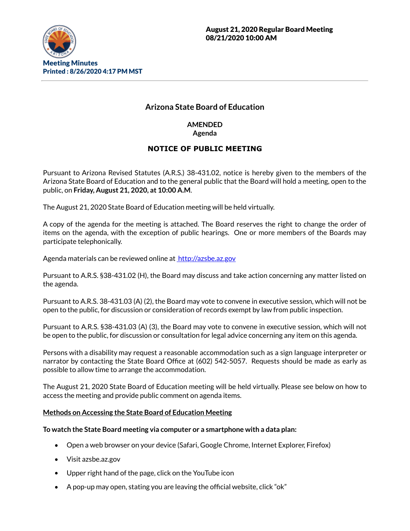

# **Arizona State Board of Education**

**AMENDED Agenda**

# **NOTICE OF PUBLIC MEETING**

Pursuant to Arizona Revised Statutes (A.R.S.) 38-431.02, notice is hereby given to the members of the Arizona State Board of Education and to the general public that the Board will hold a meeting, open to the public, on **Friday, August 21, 2020, at 10:00 A.M**.

The August 21, 2020 State Board of Education meeting will be held virtually.

A copy of the agenda for the meeting is attached. The Board reserves the right to change the order of items on the agenda, with the exception of public hearings. One or more members of the Boards may participate telephonically.

Agenda materials can be reviewed online at [http://azsbe.az.gov](http://azsbe.az.gov/)

Pursuant to A.R.S. §38-431.02 (H), the Board may discuss and take action concerning any matter listed on the agenda.

Pursuant to A.R.S. 38-431.03 (A) (2), the Board may vote to convene in executive session, which will not be open to the public, for discussion or consideration of records exempt by law from public inspection.

Pursuant to A.R.S. §38-431.03 (A) (3), the Board may vote to convene in executive session, which will not be open to the public, for discussion or consultation for legal advice concerning any item on this agenda.

Persons with a disability may request a reasonable accommodation such as a sign language interpreter or narrator by contacting the State Board Office at (602) 542-5057. Requests should be made as early as possible to allow time to arrange the accommodation.

The August 21, 2020 State Board of Education meeting will be held virtually. Please see below on how to access the meeting and provide public comment on agenda items.

### **Methods on Accessing the State Board of Education Meeting**

### **To watch the State Board meeting via computer or a smartphone with a data plan:**

- Open a web browser on your device (Safari, Google Chrome, Internet Explorer, Firefox)
- Visit azsbe.az.gov
- Upper right hand of the page, click on the YouTube icon
- $\bullet$  A pop-up may open, stating you are leaving the official website, click "ok"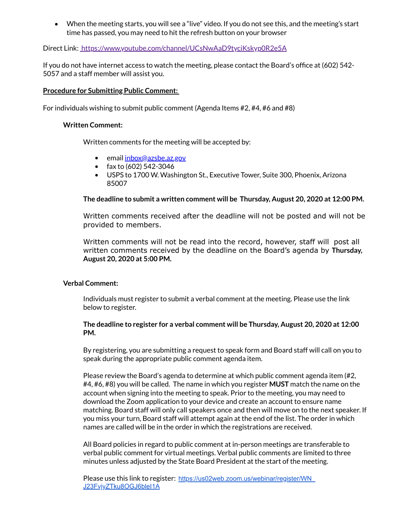When the meeting starts, you will see a "live" video. If you do not see this, and the meeting's start time has passed, you may need to hit the refresh button on your browser

Direct Link: <https://www.youtube.com/channel/UCsNwAaD9tyciKskyp0R2e5A>

If you do not have internet access to watch the meeting, please contact the Board's office at (602) 542-5057 and a staff member will assist you.

#### **Procedure for Submitting Public Comment:**

For individuals wishing to submit public comment (Agenda Items #2, #4, #6 and #8)

#### **Written Comment:**

Written comments for the meeting will be accepted by:

- **e** email [inbox@azsbe.az.gov](mailto:inbox@azsbe.az.gov)
- fax to  $(602)$  542-3046
- USPS to 1700 W. Washington St., Executive Tower, Suite 300, Phoenix, Arizona 85007

#### **The deadline to submit a written comment will be Thursday, August 20, 2020 at 12:00 PM.**

Written comments received after the deadline will not be posted and will not be provided to members.

Written comments will not be read into the record, however, staff will post all written comments received by the deadline on the Board's agenda by **Thursday, August 20, 2020 at 5:00 PM.**

#### **Verbal Comment:**

Individuals must register to submit a verbal comment at the meeting. Please use the link below to register.

#### **The deadline to register for a verbal comment will be Thursday, August 20, 2020 at 12:00 PM.**

By registering, you are submitting a request to speak form and Board staff will call on you to speak during the appropriate public comment agenda item.

Please review the Board's agenda to determine at which public comment agenda item (#2, #4, #6, #8) you will be called. The name in which you register **MUST** match the name on the account when signing into the meeting to speak. Prior to the meeting, you may need to download the Zoom application to your device and create an account to ensure name matching. Board staff will only call speakers once and then will move on to the next speaker. If you miss your turn, Board staff will attempt again at the end of the list. The order in which names are called will be in the order in which the registrations are received.

All Board policies in regard to public comment at in-person meetings are transferable to verbal public comment for virtual meetings. Verbal public comments are limited to three minutes unless adjusted by the State Board President at the start of the meeting.

Please use this link to register: https://us02web.zoom.us/webinar/register/WN J23FvjyZTku8OGJ6bleI1A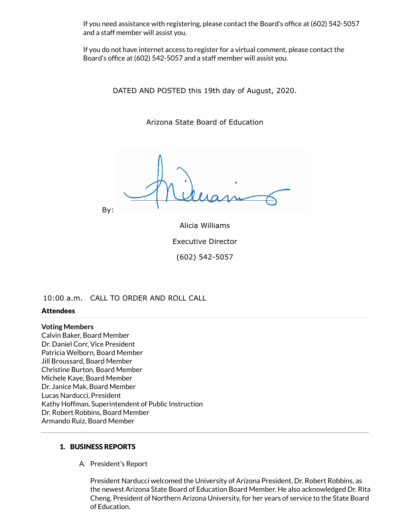If you need assistance with registering, please contact the Board's office at (602) 542-5057 and a staff member will assist you.

If you do not have internet access to register for a virtual comment, please contact the Board's office at (602) 542-5057 and a staff member will assist you.

DATED AND POSTED this 19th day of August, 2020.

Arizona State Board of Education

By:

Alicia Williams Executive Director (602) 542-5057

10:00 a.m. CALL TO ORDER AND ROLL CALL

#### Attendees

**Voting Members**

Calvin Baker, Board Member Dr. Daniel Corr, Vice President Patricia Welborn, Board Member Jill Broussard, Board Member Christine Burton, Board Member Michele Kaye, Board Member Dr. Janice Mak, Board Member Lucas Narducci, President Kathy Hoffman, Superintendent of Public Instruction Dr. Robert Robbins, Board Member Armando Ruiz, Board Member

## 1. BUSINESS REPORTS

A. President's Report

President Narducci welcomed the University of Arizona President, Dr. Robert Robbins, as the newest Arizona State Board of Education Board Member. He also acknowledged Dr. Rita Cheng, President of Northern Arizona University, for her years of service to the State Board of Education.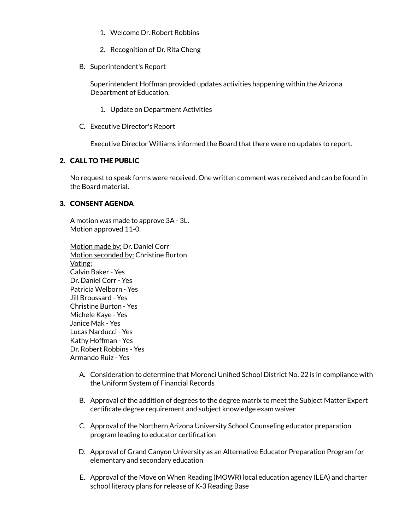- 1. Welcome Dr. Robert Robbins
- 2. Recognition of Dr. Rita Cheng
- B. Superintendent's Report

Superintendent Hoffman provided updates activities happening within the Arizona Department of Education.

- 1. Update on Department Activities
- C. Executive Director's Report

Executive Director Williams informed the Board that there were no updates to report.

# 2. CALL TO THE PUBLIC

No request to speak forms were received. One written comment was received and can be found in the Board material.

# 3. CONSENT AGENDA

A motion was made to approve 3A - 3L. Motion approved 11-0.

Motion made by: Dr. Daniel Corr Motion seconded by: Christine Burton Voting: Calvin Baker - Yes Dr. Daniel Corr - Yes Patricia Welborn - Yes Jill Broussard - Yes Christine Burton - Yes Michele Kaye - Yes Janice Mak - Yes Lucas Narducci - Yes Kathy Hoffman - Yes Dr. Robert Robbins - Yes Armando Ruiz - Yes

- A. Consideration to determine that Morenci Unified School District No. 22 is in compliance with the Uniform System of Financial Records
- B. Approval of the addition of degrees to the degree matrix to meet the Subject Matter Expert certificate degree requirement and subject knowledge exam waiver
- C. Approval of the Northern Arizona University School Counseling educator preparation program leading to educator certification
- D. Approval of Grand Canyon University as an Alternative Educator Preparation Program for elementary and secondary education
- E. Approval of the Move on When Reading (MOWR) local education agency (LEA) and charter school literacy plans for release of K-3 Reading Base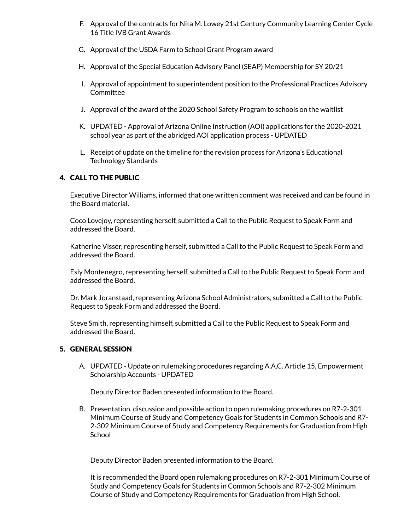- F. Approval of the contracts for Nita M. Lowey 21st Century Community Learning Center Cycle 16 Title IVB Grant Awards
- G. Approval of the USDA Farm to School Grant Program award
- H. Approval of the Special Education Advisory Panel (SEAP) Membership for SY 20/21
- I. Approval of appointment to superintendent position to the Professional Practices Advisory **Committee**
- J. Approval of the award of the 2020 School Safety Program to schools on the waitlist
- K. UPDATED Approval of Arizona Online Instruction (AOI) applications for the 2020-2021 school year as part of the abridged AOI application process - UPDATED
- L. Receipt of update on the timeline for the revision process for Arizona's Educational Technology Standards

# 4. CALL TO THE PUBLIC

Executive Director Williams, informed that one written comment was received and can be found in the Board material.

Coco Lovejoy, representing herself, submitted a Call to the Public Request to Speak Form and addressed the Board.

Katherine Visser, representing herself, submitted a Call to the Public Request to Speak Form and addressed the Board.

Esly Montenegro, representing herself, submitted a Call to the Public Request to Speak Form and addressed the Board.

Dr. Mark Joranstaad, representing Arizona School Administrators, submitted a Call to the Public Request to Speak Form and addressed the Board.

Steve Smith, representing himself, submitted a Call to the Public Request to Speak Form and addressed the Board.

### 5. GENERAL SESSION

A. UPDATED - Update on rulemaking procedures regarding A.A.C. Article 15, Empowerment Scholarship Accounts - UPDATED

Deputy Director Baden presented information to the Board.

B. Presentation, discussion and possible action to open rulemaking procedures on R7-2-301 Minimum Course of Study and Competency Goals for Students in Common Schools and R7- 2-302 Minimum Course of Study and Competency Requirements for Graduation from High **School** 

Deputy Director Baden presented information to the Board.

It is recommended the Board open rulemaking procedures on R7-2-301 Minimum Course of Study and Competency Goals for Students in Common Schools and R7-2-302 Minimum Course of Study and Competency Requirements for Graduation from High School.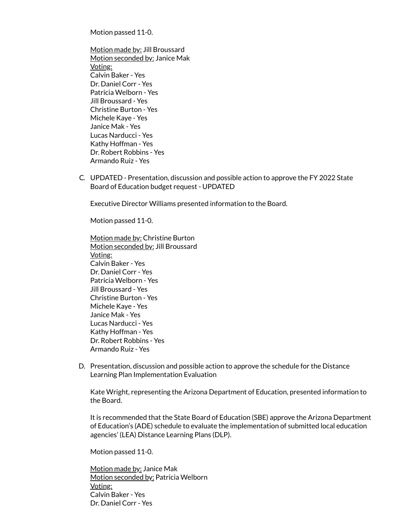Motion passed 11-0.

- Motion made by: Jill Broussard Motion seconded by: Janice Mak Voting: Calvin Baker - Yes Dr. Daniel Corr - Yes Patricia Welborn - Yes Jill Broussard - Yes Christine Burton - Yes Michele Kaye - Yes Janice Mak - Yes Lucas Narducci - Yes Kathy Hoffman - Yes Dr. Robert Robbins - Yes Armando Ruiz - Yes
- C. UPDATED Presentation, discussion and possible action to approve the FY 2022 State Board of Education budget request - UPDATED

Executive Director Williams presented information to the Board.

Motion passed 11-0.

Motion made by: Christine Burton Motion seconded by: Jill Broussard Voting: Calvin Baker - Yes Dr. Daniel Corr - Yes Patricia Welborn - Yes Jill Broussard - Yes Christine Burton - Yes Michele Kaye - Yes Janice Mak - Yes Lucas Narducci - Yes Kathy Hoffman - Yes Dr. Robert Robbins - Yes Armando Ruiz - Yes

D. Presentation, discussion and possible action to approve the schedule for the Distance Learning Plan Implementation Evaluation

Kate Wright, representing the Arizona Department of Education, presented information to the Board.

It is recommended that the State Board of Education (SBE) approve the Arizona Department of Education's (ADE) schedule to evaluate the implementation of submitted local education agencies' (LEA) Distance Learning Plans (DLP).

Motion passed 11-0.

Motion made by: Janice Mak Motion seconded by: Patricia Welborn Voting: Calvin Baker - Yes Dr. Daniel Corr - Yes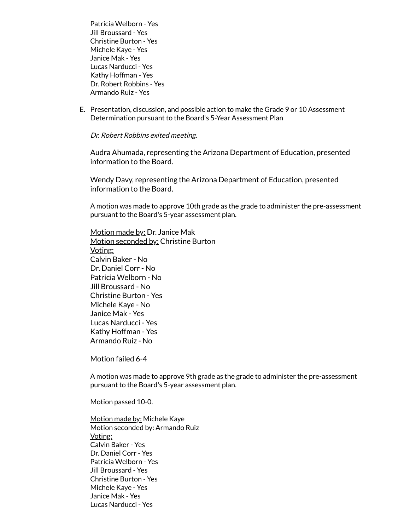Patricia Welborn - Yes Jill Broussard - Yes Christine Burton - Yes Michele Kaye - Yes Janice Mak - Yes Lucas Narducci - Yes Kathy Hoffman - Yes Dr. Robert Robbins - Yes Armando Ruiz - Yes

E. Presentation, discussion, and possible action to make the Grade 9 or 10 Assessment Determination pursuant to the Board's 5-Year Assessment Plan

Dr. Robert Robbins exited meeting.

Audra Ahumada, representing the Arizona Department of Education, presented information to the Board.

Wendy Davy, representing the Arizona Department of Education, presented information to the Board.

A motion was made to approve 10th grade as the grade to administer the pre-assessment pursuant to the Board's 5-year assessment plan.

Motion made by: Dr. Janice Mak Motion seconded by: Christine Burton Voting: Calvin Baker - No Dr. Daniel Corr - No Patricia Welborn - No Jill Broussard - No Christine Burton - Yes Michele Kaye - No Janice Mak - Yes Lucas Narducci - Yes Kathy Hoffman - Yes Armando Ruiz - No

Motion failed 6-4

A motion was made to approve 9th grade as the grade to administer the pre-assessment pursuant to the Board's 5-year assessment plan.

Motion passed 10-0.

Motion made by: Michele Kaye Motion seconded by: Armando Ruiz Voting: Calvin Baker - Yes Dr. Daniel Corr - Yes Patricia Welborn - Yes Jill Broussard - Yes Christine Burton - Yes Michele Kaye - Yes Janice Mak - Yes Lucas Narducci - Yes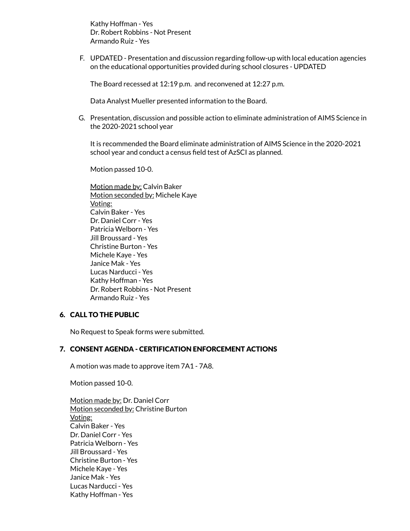Kathy Hoffman - Yes Dr. Robert Robbins - Not Present Armando Ruiz - Yes

F. UPDATED - Presentation and discussion regarding follow-up with local education agencies on the educational opportunities provided during school closures - UPDATED

The Board recessed at 12:19 p.m. and reconvened at 12:27 p.m.

Data Analyst Mueller presented information to the Board.

G. Presentation, discussion and possible action to eliminate administration of AIMS Science in the 2020-2021 school year

It is recommended the Board eliminate administration of AIMS Science in the 2020-2021 school year and conduct a census field test of AzSCI as planned.

Motion passed 10-0.

Motion made by: Calvin Baker Motion seconded by: Michele Kaye Voting: Calvin Baker - Yes Dr. Daniel Corr - Yes Patricia Welborn - Yes Jill Broussard - Yes Christine Burton - Yes Michele Kaye - Yes Janice Mak - Yes Lucas Narducci - Yes Kathy Hoffman - Yes Dr. Robert Robbins - Not Present Armando Ruiz - Yes

## 6. CALL TO THE PUBLIC

No Request to Speak forms were submitted.

#### 7. CONSENT AGENDA - CERTIFICATION ENFORCEMENT ACTIONS

A motion was made to approve item 7A1 - 7A8.

Motion passed 10-0.

Motion made by: Dr. Daniel Corr Motion seconded by: Christine Burton Voting: Calvin Baker - Yes Dr. Daniel Corr - Yes Patricia Welborn - Yes Jill Broussard - Yes Christine Burton - Yes Michele Kaye - Yes Janice Mak - Yes Lucas Narducci - Yes Kathy Hoffman - Yes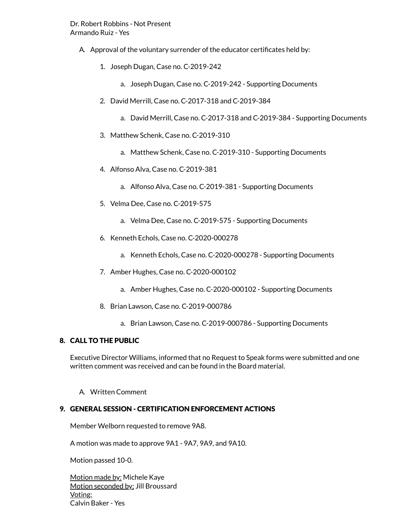- A. Approval of the voluntary surrender of the educator certificates held by:
	- 1. Joseph Dugan, Case no. C-2019-242
		- a. Joseph Dugan, Case no. C-2019-242 Supporting Documents
	- 2. David Merrill, Case no. C-2017-318 and C-2019-384
		- a. David Merrill, Case no. C-2017-318 and C-2019-384 Supporting Documents
	- 3. Matthew Schenk, Case no. C-2019-310
		- a. Matthew Schenk, Case no. C-2019-310 Supporting Documents
	- 4. Alfonso Alva, Case no. C-2019-381
		- a. Alfonso Alva, Case no. C-2019-381 Supporting Documents
	- 5. Velma Dee, Case no. C-2019-575
		- a. Velma Dee, Case no. C-2019-575 Supporting Documents
	- 6. Kenneth Echols, Case no. C-2020-000278
		- a. Kenneth Echols, Case no. C-2020-000278 Supporting Documents
	- 7. Amber Hughes, Case no. C-2020-000102
		- a. Amber Hughes, Case no. C-2020-000102 Supporting Documents
	- 8. Brian Lawson, Case no. C-2019-000786
		- a. Brian Lawson, Case no. C-2019-000786 Supporting Documents

# 8. CALL TO THE PUBLIC

Executive Director Williams, informed that no Request to Speak forms were submitted and one written comment was received and can be found in the Board material.

### A. Written Comment

# 9. GENERAL SESSION - CERTIFICATION ENFORCEMENT ACTIONS

Member Welborn requested to remove 9A8.

A motion was made to approve 9A1 - 9A7, 9A9, and 9A10.

Motion passed 10-0.

Motion made by: Michele Kaye Motion seconded by: Jill Broussard Voting: Calvin Baker - Yes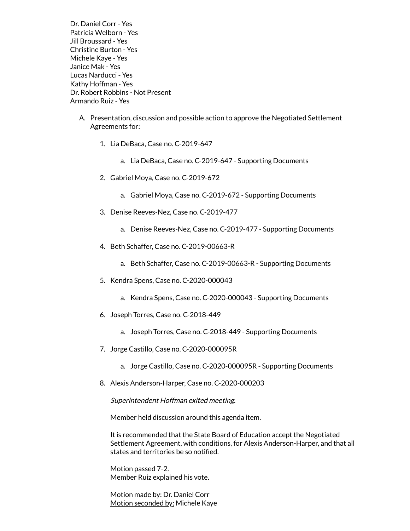Dr. Daniel Corr - Yes Patricia Welborn - Yes Jill Broussard - Yes Christine Burton - Yes Michele Kaye - Yes Janice Mak - Yes Lucas Narducci - Yes Kathy Hoffman - Yes Dr. Robert Robbins - Not Present Armando Ruiz - Yes

- A. Presentation, discussion and possible action to approve the Negotiated Settlement Agreements for:
	- 1. Lia DeBaca, Case no. C-2019-647
		- a. Lia DeBaca, Case no. C-2019-647 Supporting Documents
	- 2. Gabriel Moya, Case no. C-2019-672
		- a. Gabriel Moya, Case no. C-2019-672 Supporting Documents
	- 3. Denise Reeves-Nez, Case no. C-2019-477
		- a. Denise Reeves-Nez, Case no. C-2019-477 Supporting Documents
	- 4. Beth Schaffer, Case no. C-2019-00663-R
		- a. Beth Schaffer, Case no. C-2019-00663-R Supporting Documents
	- 5. Kendra Spens, Case no. C-2020-000043
		- a. Kendra Spens, Case no. C-2020-000043 Supporting Documents
	- 6. Joseph Torres, Case no. C-2018-449
		- a. Joseph Torres, Case no. C-2018-449 Supporting Documents
	- 7. Jorge Castillo, Case no. C-2020-000095R
		- a. Jorge Castillo, Case no. C-2020-000095R Supporting Documents
	- 8. Alexis Anderson-Harper, Case no. C-2020-000203

Superintendent Hoffman exited meeting.

Member held discussion around this agenda item.

It is recommended that the State Board of Education accept the Negotiated Settlement Agreement, with conditions, for Alexis Anderson-Harper, and that all states and territories be so notified.

Motion passed 7-2. Member Ruiz explained his vote.

Motion made by: Dr. Daniel Corr Motion seconded by: Michele Kaye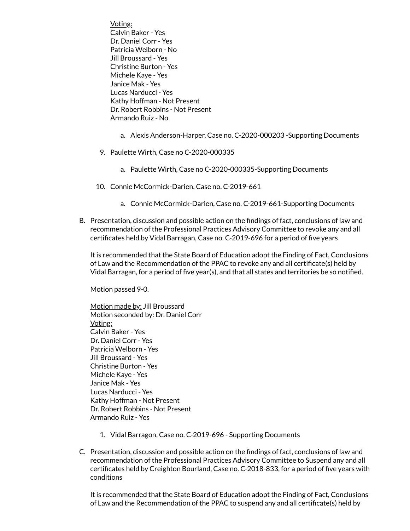Voting: Calvin Baker - Yes Dr. Daniel Corr - Yes Patricia Welborn - No Jill Broussard - Yes Christine Burton - Yes Michele Kaye - Yes Janice Mak - Yes Lucas Narducci - Yes Kathy Hoffman - Not Present Dr. Robert Robbins - Not Present Armando Ruiz - No

- a. Alexis Anderson-Harper, Case no. C-2020-000203 -Supporting Documents
- 9. Paulette Wirth, Case no C-2020-000335
	- a. Paulette Wirth, Case no C-2020-000335-Supporting Documents
- 10. Connie McCormick-Darien, Case no. C-2019-661
	- a. Connie McCormick-Darien, Case no. C-2019-661-Supporting Documents
- B. Presentation, discussion and possible action on the findings of fact, conclusions of law and recommendation of the Professional Practices Advisory Committee to revoke any and all certificates held by Vidal Barragan, Case no. C-2019-696 for a period of five years

It is recommended that the State Board of Education adopt the Finding of Fact, Conclusions of Law and the Recommendation of the PPAC to revoke any and all certicate(s) held by Vidal Barragan, for a period of five year(s), and that all states and territories be so notified.

Motion passed 9-0.

Motion made by: Jill Broussard Motion seconded by: Dr. Daniel Corr Voting: Calvin Baker - Yes Dr. Daniel Corr - Yes Patricia Welborn - Yes Jill Broussard - Yes Christine Burton - Yes Michele Kaye - Yes Janice Mak - Yes Lucas Narducci - Yes Kathy Hoffman - Not Present Dr. Robert Robbins - Not Present Armando Ruiz - Yes

- 1. Vidal Barragon, Case no. C-2019-696 Supporting Documents
- C. Presentation, discussion and possible action on the findings of fact, conclusions of law and recommendation of the Professional Practices Advisory Committee to Suspend any and all certificates held by Creighton Bourland, Case no. C-2018-833, for a period of five years with conditions

It is recommended that the State Board of Education adopt the Finding of Fact, Conclusions of Law and the Recommendation of the PPAC to suspend any and all certificate(s) held by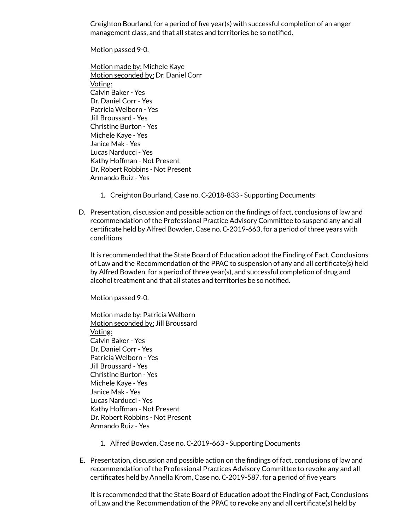Creighton Bourland, for a period of five year(s) with successful completion of an anger management class, and that all states and territories be so notified.

Motion passed 9-0.

- Motion made by: Michele Kaye Motion seconded by: Dr. Daniel Corr Voting: Calvin Baker - Yes Dr. Daniel Corr - Yes Patricia Welborn - Yes Jill Broussard - Yes Christine Burton - Yes Michele Kaye - Yes Janice Mak - Yes Lucas Narducci - Yes Kathy Hoffman - Not Present Dr. Robert Robbins - Not Present Armando Ruiz - Yes
	- 1. Creighton Bourland, Case no. C-2018-833 Supporting Documents
- D. Presentation, discussion and possible action on the findings of fact, conclusions of law and recommendation of the Professional Practice Advisory Committee to suspend any and all certificate held by Alfred Bowden, Case no. C-2019-663, for a period of three years with conditions

It is recommended that the State Board of Education adopt the Finding of Fact, Conclusions of Law and the Recommendation of the PPAC to suspension of any and all certificate(s) held by Alfred Bowden, for a period of three year(s), and successful completion of drug and alcohol treatment and that all states and territories be so notified.

Motion passed 9-0.

Motion made by: Patricia Welborn Motion seconded by: Jill Broussard Voting: Calvin Baker - Yes Dr. Daniel Corr - Yes Patricia Welborn - Yes Jill Broussard - Yes Christine Burton - Yes Michele Kaye - Yes Janice Mak - Yes Lucas Narducci - Yes Kathy Hoffman - Not Present Dr. Robert Robbins - Not Present Armando Ruiz - Yes

- 1. Alfred Bowden, Case no. C-2019-663 Supporting Documents
- E. Presentation, discussion and possible action on the findings of fact, conclusions of law and recommendation of the Professional Practices Advisory Committee to revoke any and all certificates held by Annella Krom, Case no. C-2019-587, for a period of five years

It is recommended that the State Board of Education adopt the Finding of Fact, Conclusions of Law and the Recommendation of the PPAC to revoke any and all certificate(s) held by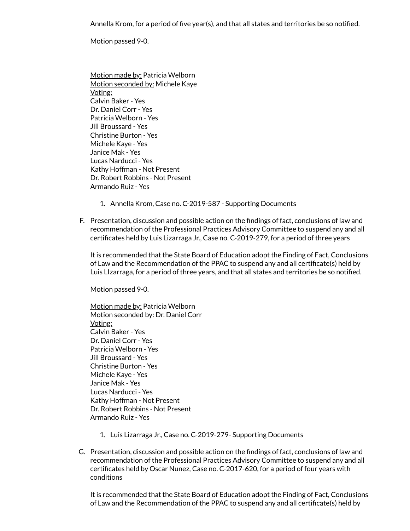Annella Krom, for a period of five year(s), and that all states and territories be so notified.

Motion passed 9-0.

- Motion made by: Patricia Welborn Motion seconded by: Michele Kaye Voting: Calvin Baker - Yes Dr. Daniel Corr - Yes Patricia Welborn - Yes Jill Broussard - Yes Christine Burton - Yes Michele Kaye - Yes Janice Mak - Yes Lucas Narducci - Yes Kathy Hoffman - Not Present Dr. Robert Robbins - Not Present Armando Ruiz - Yes
	- 1. Annella Krom, Case no. C-2019-587 Supporting Documents
- F. Presentation, discussion and possible action on the findings of fact, conclusions of law and recommendation of the Professional Practices Advisory Committee to suspend any and all certificates held by Luis Lizarraga Jr., Case no. C-2019-279, for a period of three years

It is recommended that the State Board of Education adopt the Finding of Fact, Conclusions of Law and the Recommendation of the PPAC to suspend any and all certicate(s) held by Luis LIzarraga, for a period of three years, and that all states and territories be so notified.

Motion passed 9-0.

Motion made by: Patricia Welborn Motion seconded by: Dr. Daniel Corr Voting: Calvin Baker - Yes Dr. Daniel Corr - Yes Patricia Welborn - Yes Jill Broussard - Yes Christine Burton - Yes Michele Kaye - Yes Janice Mak - Yes Lucas Narducci - Yes Kathy Hoffman - Not Present Dr. Robert Robbins - Not Present Armando Ruiz - Yes

- 1. Luis Lizarraga Jr., Case no. C-2019-279- Supporting Documents
- G. Presentation, discussion and possible action on the findings of fact, conclusions of law and recommendation of the Professional Practices Advisory Committee to suspend any and all certificates held by Oscar Nunez, Case no. C-2017-620, for a period of four years with conditions

It is recommended that the State Board of Education adopt the Finding of Fact, Conclusions of Law and the Recommendation of the PPAC to suspend any and all certificate(s) held by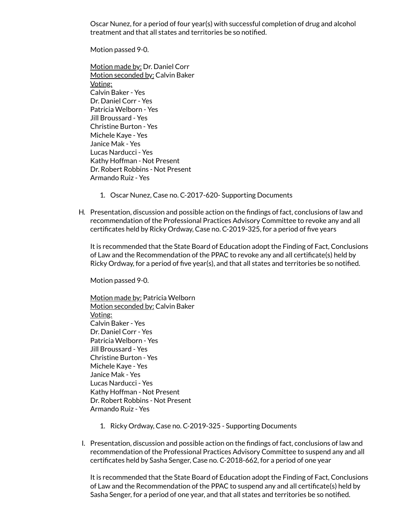Oscar Nunez, for a period of four year(s) with successful completion of drug and alcohol treatment and that all states and territories be so notified.

Motion passed 9-0.

- Motion made by: Dr. Daniel Corr Motion seconded by: Calvin Baker Voting: Calvin Baker - Yes Dr. Daniel Corr - Yes Patricia Welborn - Yes Jill Broussard - Yes Christine Burton - Yes Michele Kaye - Yes Janice Mak - Yes Lucas Narducci - Yes Kathy Hoffman - Not Present Dr. Robert Robbins - Not Present Armando Ruiz - Yes
	- 1. Oscar Nunez, Case no. C-2017-620- Supporting Documents
- H. Presentation, discussion and possible action on the findings of fact, conclusions of law and recommendation of the Professional Practices Advisory Committee to revoke any and all certificates held by Ricky Ordway, Case no. C-2019-325, for a period of five years

It is recommended that the State Board of Education adopt the Finding of Fact, Conclusions of Law and the Recommendation of the PPAC to revoke any and all certificate(s) held by Ricky Ordway, for a period of five year(s), and that all states and territories be so notified.

Motion passed 9-0.

Motion made by: Patricia Welborn Motion seconded by: Calvin Baker Voting: Calvin Baker - Yes Dr. Daniel Corr - Yes Patricia Welborn - Yes Jill Broussard - Yes Christine Burton - Yes Michele Kaye - Yes Janice Mak - Yes Lucas Narducci - Yes Kathy Hoffman - Not Present Dr. Robert Robbins - Not Present Armando Ruiz - Yes

- 1. Ricky Ordway, Case no. C-2019-325 Supporting Documents
- I. Presentation, discussion and possible action on the findings of fact, conclusions of law and recommendation of the Professional Practices Advisory Committee to suspend any and all certificates held by Sasha Senger, Case no. C-2018-662, for a period of one year

It is recommended that the State Board of Education adopt the Finding of Fact, Conclusions of Law and the Recommendation of the PPAC to suspend any and all certificate(s) held by Sasha Senger, for a period of one year, and that all states and territories be so notified.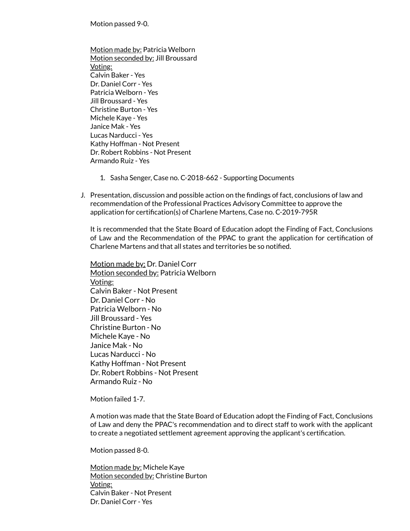Motion passed 9-0.

- Motion made by: Patricia Welborn Motion seconded by: Jill Broussard Voting: Calvin Baker - Yes Dr. Daniel Corr - Yes Patricia Welborn - Yes Jill Broussard - Yes Christine Burton - Yes Michele Kaye - Yes Janice Mak - Yes Lucas Narducci - Yes Kathy Hoffman - Not Present Dr. Robert Robbins - Not Present Armando Ruiz - Yes
	- 1. Sasha Senger, Case no. C-2018-662 Supporting Documents
- J. Presentation, discussion and possible action on the findings of fact, conclusions of law and recommendation of the Professional Practices Advisory Committee to approve the application for certification(s) of Charlene Martens, Case no. C-2019-795R

It is recommended that the State Board of Education adopt the Finding of Fact, Conclusions of Law and the Recommendation of the PPAC to grant the application for certification of Charlene Martens and that all states and territories be so notified.

Motion made by: Dr. Daniel Corr Motion seconded by: Patricia Welborn Voting: Calvin Baker - Not Present Dr. Daniel Corr - No Patricia Welborn - No Jill Broussard - Yes Christine Burton - No Michele Kaye - No Janice Mak - No Lucas Narducci - No Kathy Hoffman - Not Present Dr. Robert Robbins - Not Present Armando Ruiz - No

Motion failed 1-7.

A motion was made that the State Board of Education adopt the Finding of Fact, Conclusions of Law and deny the PPAC's recommendation and to direct staff to work with the applicant to create a negotiated settlement agreement approving the applicant's certification.

Motion passed 8-0.

Motion made by: Michele Kaye Motion seconded by: Christine Burton Voting: Calvin Baker - Not Present Dr. Daniel Corr - Yes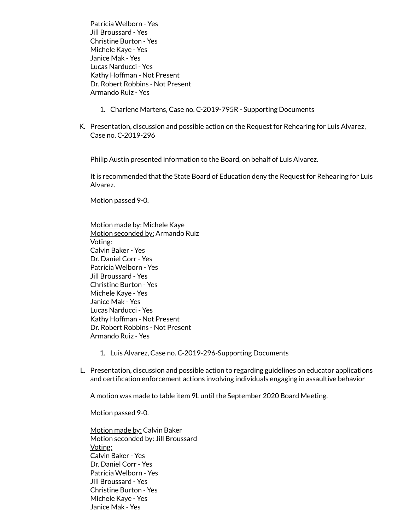Patricia Welborn - Yes Jill Broussard - Yes Christine Burton - Yes Michele Kaye - Yes Janice Mak - Yes Lucas Narducci - Yes Kathy Hoffman - Not Present Dr. Robert Robbins - Not Present Armando Ruiz - Yes

- 1. Charlene Martens, Case no. C-2019-795R Supporting Documents
- K. Presentation, discussion and possible action on the Request for Rehearing for Luis Alvarez, Case no. C-2019-296

Philip Austin presented information to the Board, on behalf of Luis Alvarez.

It is recommended that the State Board of Education deny the Request for Rehearing for Luis Alvarez.

Motion passed 9-0.

Motion made by: Michele Kaye Motion seconded by: Armando Ruiz Voting: Calvin Baker - Yes Dr. Daniel Corr - Yes Patricia Welborn - Yes Jill Broussard - Yes Christine Burton - Yes Michele Kaye - Yes Janice Mak - Yes Lucas Narducci - Yes Kathy Hoffman - Not Present Dr. Robert Robbins - Not Present Armando Ruiz - Yes

- 1. Luis Alvarez, Case no. C-2019-296-Supporting Documents
- L. Presentation, discussion and possible action to regarding guidelines on educator applications and certification enforcement actions involving individuals engaging in assaultive behavior

A motion was made to table item 9L until the September 2020 Board Meeting.

Motion passed 9-0.

Motion made by: Calvin Baker Motion seconded by: Jill Broussard Voting: Calvin Baker - Yes Dr. Daniel Corr - Yes Patricia Welborn - Yes Jill Broussard - Yes Christine Burton - Yes Michele Kaye - Yes Janice Mak - Yes